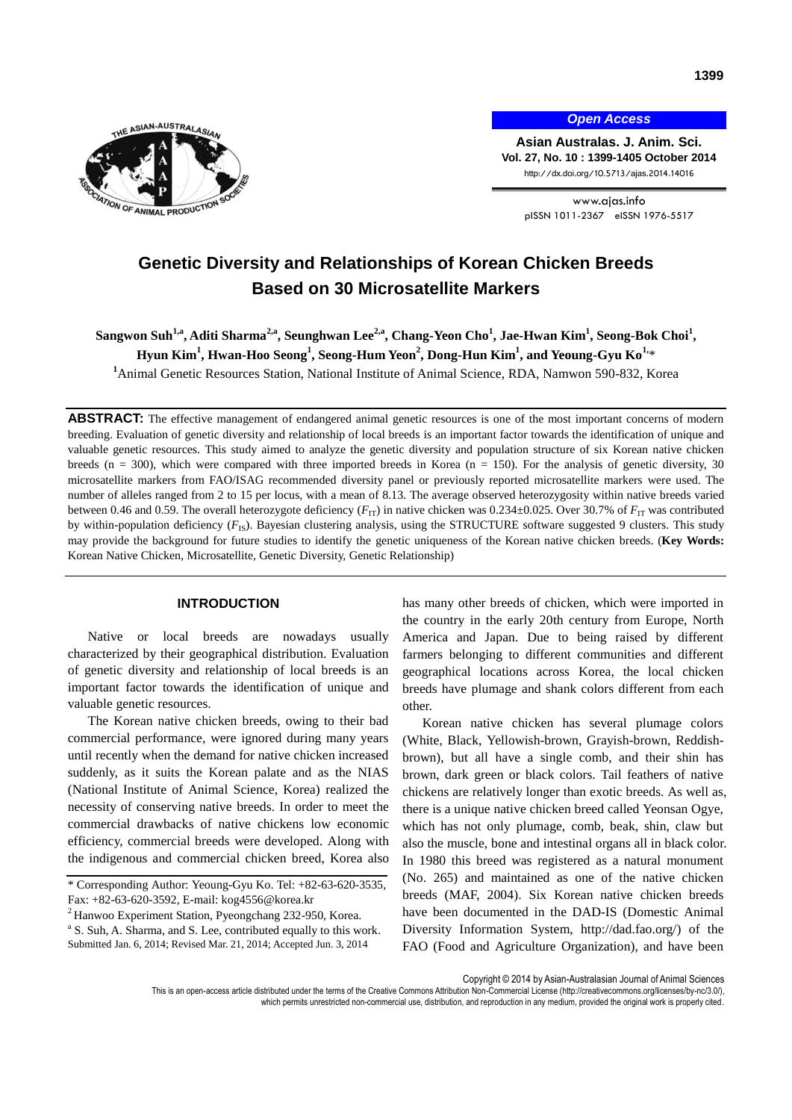

*Open Access*

**Asian Australas. J. Anim. Sci. Vol. 27, No. 10 : 1399-1405 October 2014** http://dx.doi.org/10.5713/ajas.2014.14016

> www.ajas.info pISSN 1011-2367 eISSN 1976-5517

# **Genetic Diversity and Relationships of Korean Chicken Breeds Based on 30 Microsatellite Markers**

 $\delta$ Sangwon Suh $^{1,a}$ , Aditi Sharma $^{2,a}$ , Seunghwan Lee $^{2,a}$ , Chang-Yeon Cho $^1$ , Jae-Hwan Kim $^1$ , Seong-Bok Choi $^1$ , **Hyun Kim<sup>1</sup> , Hwan-Hoo Seong<sup>1</sup> , Seong-Hum Yeon<sup>2</sup> , Dong-Hun Kim<sup>1</sup> , and Yeoung-Gyu Ko1,**\*

**<sup>1</sup>**Animal Genetic Resources Station, National Institute of Animal Science, RDA, Namwon 590-832, Korea

ABSTRACT: The effective management of endangered animal genetic resources is one of the most important concerns of modern breeding. Evaluation of genetic diversity and relationship of local breeds is an important factor towards the identification of unique and valuable genetic resources. This study aimed to analyze the genetic diversity and population structure of six Korean native chicken breeds (n = 300), which were compared with three imported breeds in Korea (n = 150). For the analysis of genetic diversity, 30 microsatellite markers from FAO/ISAG recommended diversity panel or previously reported microsatellite markers were used. The number of alleles ranged from 2 to 15 per locus, with a mean of 8.13. The average observed heterozygosity within native breeds varied between 0.46 and 0.59. The overall heterozygote deficiency  $(F_{IT})$  in native chicken was 0.234±0.025. Over 30.7% of  $F_{IT}$  was contributed by within-population deficiency  $(F_{1S})$ . Bayesian clustering analysis, using the STRUCTURE software suggested 9 clusters. This study may provide the background for future studies to identify the genetic uniqueness of the Korean native chicken breeds. (**Key Words:** Korean Native Chicken, Microsatellite, Genetic Diversity, Genetic Relationship)

# **INTRODUCTION**

Native or local breeds are nowadays usually characterized by their geographical distribution. Evaluation of genetic diversity and relationship of local breeds is an important factor towards the identification of unique and valuable genetic resources.

The Korean native chicken breeds, owing to their bad commercial performance, were ignored during many years until recently when the demand for native chicken increased suddenly, as it suits the Korean palate and as the NIAS (National Institute of Animal Science, Korea) realized the necessity of conserving native breeds. In order to meet the commercial drawbacks of native chickens low economic efficiency, commercial breeds were developed. Along with the indigenous and commercial chicken breed, Korea also

<sup>a</sup> S. Suh, A. Sharma, and S. Lee, contributed equally to this work. Submitted Jan. 6, 2014; Revised Mar. 21, 2014; Accepted Jun. 3, 2014

has many other breeds of chicken, which were imported in the country in the early 20th century from Europe, North America and Japan. Due to being raised by different farmers belonging to different communities and different geographical locations across Korea, the local chicken breeds have plumage and shank colors different from each other.

Korean native chicken has several plumage colors (White, Black, Yellowish-brown, Grayish-brown, Reddishbrown), but all have a single comb, and their shin has brown, dark green or black colors. Tail feathers of native chickens are relatively longer than exotic breeds. As well as, there is a unique native chicken breed called Yeonsan Ogye, which has not only plumage, comb, beak, shin, claw but also the muscle, bone and intestinal organs all in black color. In 1980 this breed was registered as a natural monument (No. 265) and maintained as one of the native chicken breeds (MAF, 2004). Six Korean native chicken breeds have been documented in the DAD-IS (Domestic Animal Diversity Information System, [http://dad.fao.org/\)](http://dad.fao.org/) of the FAO (Food and Agriculture Organization), and have been

Copyright © 2014 by Asian-Australasian Journal of Animal Sciences

This is an open-access article distributed under the terms of the Creative Commons Attribution Non-Commercial License [\(http://creativecommons.org/licenses/by-nc/3.0/\),](http://creativecommons.org/licenses/by-nc/3.0/) which permits unrestricted non-commercial use, distribution, and reproduction in any medium, provided the original work is properly cited

<sup>\*</sup> Corresponding Author: Yeoung-Gyu Ko. Tel: +82-63-620-3535, Fax: +82-63-620-3592, E-mail: kog4556@korea.kr

<sup>2</sup> Hanwoo Experiment Station, Pyeongchang 232-950, Korea.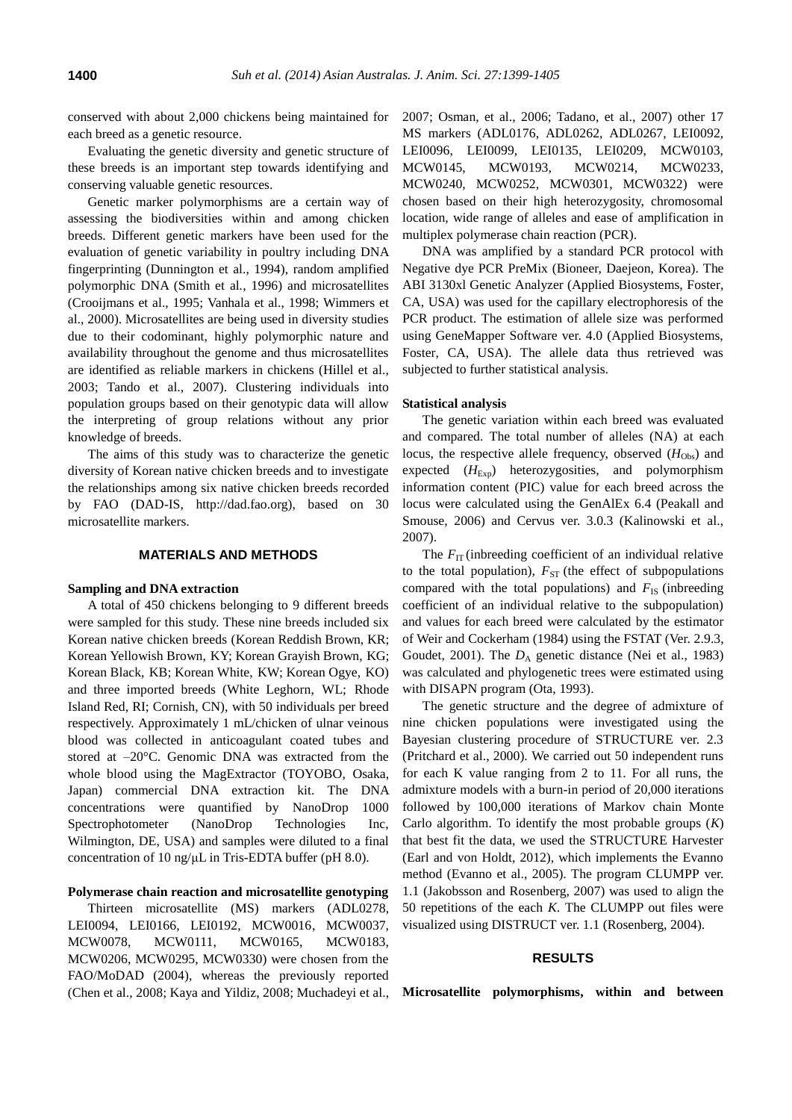conserved with about 2,000 chickens being maintained for each breed as a genetic resource.

Evaluating the genetic diversity and genetic structure of these breeds is an important step towards identifying and conserving valuable genetic resources.

Genetic marker polymorphisms are a certain way of assessing the biodiversities within and among chicken breeds. Different genetic markers have been used for the evaluation of genetic variability in poultry including DNA fingerprinting (Dunnington et al., 1994), random amplified polymorphic DNA (Smith et al*.*, 1996) and microsatellites (Crooijmans et al., 1995; Vanhala et al., 1998; Wimmers et al., 2000). Microsatellites are being used in diversity studies due to their codominant, highly polymorphic nature and availability throughout the genome and thus microsatellites are identified as reliable markers in chickens (Hillel et al., 2003; Tando et al., 2007). Clustering individuals into population groups based on their genotypic data will allow the interpreting of group relations without any prior knowledge of breeds.

The aims of this study was to characterize the genetic diversity of Korean native chicken breeds and to investigate the relationships among six native chicken breeds recorded by FAO (DAD-IS, http://dad.fao.org), based on 30 microsatellite markers.

## **MATERIALS AND METHODS**

## **Sampling and DNA extraction**

A total of 450 chickens belonging to 9 different breeds were sampled for this study. These nine breeds included six Korean native chicken breeds (Korean Reddish Brown, KR; Korean Yellowish Brown, KY; Korean Grayish Brown, KG; Korean Black, KB; Korean White, KW; Korean Ogye, KO) and three imported breeds (White Leghorn, WL; Rhode Island Red, RI; Cornish, CN), with 50 individuals per breed respectively. Approximately 1 mL/chicken of ulnar veinous blood was collected in anticoagulant coated tubes and stored at –20°C. Genomic DNA was extracted from the whole blood using the MagExtractor (TOYOBO, Osaka, Japan) commercial DNA extraction kit. The DNA concentrations were quantified by NanoDrop 1000 Spectrophotometer (NanoDrop Technologies Inc, Wilmington, DE, USA) and samples were diluted to a final concentration of 10 ng/μL in Tris-EDTA buffer (pH 8.0).

# **Polymerase chain reaction and microsatellite genotyping**

Thirteen microsatellite (MS) markers (ADL0278, LEI0094, LEI0166, LEI0192, MCW0016, MCW0037, MCW0078, MCW0111, MCW0165, MCW0183, MCW0206, MCW0295, MCW0330) were chosen from the FAO/MoDAD (2004), whereas the previously reported (Chen et al., 2008; Kaya and Yildiz, 2008; Muchadeyi et al., 2007; Osman, et al., 2006; Tadano, et al., 2007) other 17 MS markers (ADL0176, ADL0262, ADL0267, LEI0092, LEI0096, LEI0099, LEI0135, LEI0209, MCW0103, MCW0145, MCW0193, MCW0214, MCW0233, MCW0240, MCW0252, MCW0301, MCW0322) were chosen based on their high heterozygosity, chromosomal location, wide range of alleles and ease of amplification in multiplex polymerase chain reaction (PCR).

DNA was amplified by a standard PCR protocol with Negative dye PCR PreMix (Bioneer, Daejeon, Korea). The ABI 3130xl Genetic Analyzer (Applied Biosystems, Foster, CA, USA) was used for the capillary electrophoresis of the PCR product. The estimation of allele size was performed using GeneMapper Software ver. 4.0 (Applied Biosystems, Foster, CA, USA). The allele data thus retrieved was subjected to further statistical analysis.

## **Statistical analysis**

The genetic variation within each breed was evaluated and compared. The total number of alleles (NA) at each locus, the respective allele frequency, observed ( $H<sub>Obs</sub>$ ) and expected ( $H_{\text{Exp}}$ ) heterozygosities, and polymorphism information content (PIC) value for each breed across the locus were calculated using the GenAlEx 6.4 (Peakall and Smouse, 2006) and Cervus ver. 3.0.3 (Kalinowski et al., 2007).

The  $F_{\text{IT}}$  (inbreeding coefficient of an individual relative to the total population),  $F_{ST}$  (the effect of subpopulations compared with the total populations) and  $F_{IS}$  (inbreeding coefficient of an individual relative to the subpopulation) and values for each breed were calculated by the estimator of Weir and Cockerham (1984) using the FSTAT (Ver. 2.9.3, Goudet, 2001). The  $D_A$  genetic distance (Nei et al., 1983) was calculated and phylogenetic trees were estimated using with DISAPN program (Ota, 1993).

The genetic structure and the degree of admixture of nine chicken populations were investigated using the Bayesian clustering procedure of STRUCTURE ver. 2.3 (Pritchard et al., 2000). We carried out 50 independent runs for each K value ranging from 2 to 11. For all runs, the admixture models with a burn-in period of 20,000 iterations followed by 100,000 iterations of Markov chain Monte Carlo algorithm. To identify the most probable groups (*K*) that best fit the data, we used the STRUCTURE Harvester (Earl and von Holdt, 2012), which implements the Evanno method (Evanno et al., 2005). The program CLUMPP ver. 1.1 (Jakobsson and Rosenberg, 2007) was used to align the 50 repetitions of the each *K*. The CLUMPP out files were visualized using DISTRUCT ver. 1.1 (Rosenberg, 2004).

#### **RESULTS**

**Microsatellite polymorphisms, within and between**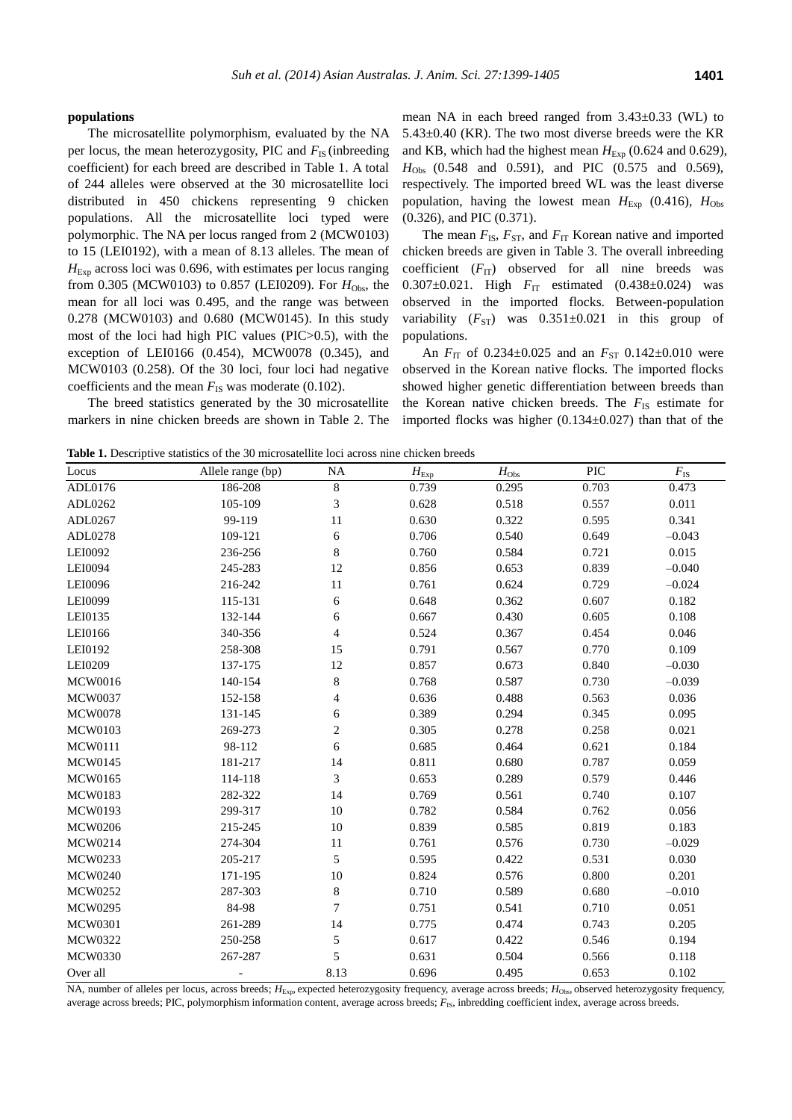#### **populations**

The microsatellite polymorphism, evaluated by the NA per locus, the mean heterozygosity, PIC and  $F_{\text{IS}}$  (inbreeding coefficient) for each breed are described in Table 1. A total of 244 alleles were observed at the 30 microsatellite loci distributed in 450 chickens representing 9 chicken populations. All the microsatellite loci typed were polymorphic. The NA per locus ranged from 2 (MCW0103) to 15 (LEI0192), with a mean of 8.13 alleles. The mean of *H*<sub>Exp</sub> across loci was 0.696, with estimates per locus ranging from 0.305 (MCW0103) to 0.857 (LEI0209). For  $H_{\text{Obs}}$ , the mean for all loci was 0.495, and the range was between 0.278 (MCW0103) and 0.680 (MCW0145). In this study most of the loci had high PIC values (PIC>0.5), with the exception of LEI0166 (0.454), MCW0078 (0.345), and MCW0103 (0.258). Of the 30 loci, four loci had negative coefficients and the mean  $F_{\text{IS}}$  was moderate (0.102).

The breed statistics generated by the 30 microsatellite markers in nine chicken breeds are shown in Table 2. The mean NA in each breed ranged from  $3.43\pm0.33$  (WL) to  $5.43\pm0.40$  (KR). The two most diverse breeds were the KR and KB, which had the highest mean  $H_{\text{Exp}}$  (0.624 and 0.629), *H*<sub>Obs</sub> (0.548 and 0.591), and PIC (0.575 and 0.569), respectively. The imported breed WL was the least diverse population, having the lowest mean  $H_{\text{Exp}}$  (0.416),  $H_{\text{Obs}}$ (0.326), and PIC (0.371).

The mean  $F_{IS}$ ,  $F_{ST}$ , and  $F_{IT}$  Korean native and imported chicken breeds are given in Table 3. The overall inbreeding coefficient  $(F_{IT})$  observed for all nine breeds was 0.307 $\pm$ 0.021. High  $F_{\text{IT}}$  estimated (0.438 $\pm$ 0.024) was observed in the imported flocks. Between-population variability  $(F_{ST})$  was  $0.351\pm0.021$  in this group of populations.

An  $F_{\text{IT}}$  of 0.234 $\pm$ 0.025 and an  $F_{\text{ST}}$  0.142 $\pm$ 0.010 were observed in the Korean native flocks. The imported flocks showed higher genetic differentiation between breeds than the Korean native chicken breeds. The  $F_{\text{IS}}$  estimate for imported flocks was higher  $(0.134 \pm 0.027)$  than that of the

**Table 1.** Descriptive statistics of the 30 microsatellite loci across nine chicken breeds

| Locus          | Allele range (bp) | <b>NA</b>      | $H_{\text{Exp}}$ | $H_{\text{Obs}}$ | PIC   | $F_{\rm IS}$ |
|----------------|-------------------|----------------|------------------|------------------|-------|--------------|
| ADL0176        | 186-208           | $\,8\,$        | 0.739            | 0.295            | 0.703 | 0.473        |
| ADL0262        | 105-109           | $\mathfrak{Z}$ | 0.628            | 0.518            | 0.557 | 0.011        |
| ADL0267        | 99-119            | 11             | 0.630            | 0.322            | 0.595 | 0.341        |
| ADL0278        | 109-121           | 6              | 0.706            | 0.540            | 0.649 | $-0.043$     |
| LEI0092        | 236-256           | $8\,$          | 0.760            | 0.584            | 0.721 | 0.015        |
| LEI0094        | 245-283           | 12             | 0.856            | 0.653            | 0.839 | $-0.040$     |
| LEI0096        | 216-242           | 11             | 0.761            | 0.624            | 0.729 | $-0.024$     |
| LEI0099        | 115-131           | 6              | 0.648            | 0.362            | 0.607 | 0.182        |
| LEI0135        | 132-144           | 6              | 0.667            | 0.430            | 0.605 | 0.108        |
| LEI0166        | 340-356           | $\overline{4}$ | 0.524            | 0.367            | 0.454 | 0.046        |
| LEI0192        | 258-308           | 15             | 0.791            | 0.567            | 0.770 | 0.109        |
| LEI0209        | 137-175           | 12             | 0.857            | 0.673            | 0.840 | $-0.030$     |
| <b>MCW0016</b> | 140-154           | $8\,$          | 0.768            | 0.587            | 0.730 | $-0.039$     |
| <b>MCW0037</b> | 152-158           | $\overline{4}$ | 0.636            | 0.488            | 0.563 | 0.036        |
| <b>MCW0078</b> | 131-145           | 6              | 0.389            | 0.294            | 0.345 | 0.095        |
| <b>MCW0103</b> | 269-273           | $\sqrt{2}$     | 0.305            | 0.278            | 0.258 | 0.021        |
| <b>MCW0111</b> | 98-112            | 6              | 0.685            | 0.464            | 0.621 | 0.184        |
| <b>MCW0145</b> | 181-217           | 14             | 0.811            | 0.680            | 0.787 | 0.059        |
| <b>MCW0165</b> | 114-118           | $\mathfrak{Z}$ | 0.653            | 0.289            | 0.579 | 0.446        |
| <b>MCW0183</b> | 282-322           | 14             | 0.769            | 0.561            | 0.740 | 0.107        |
| <b>MCW0193</b> | 299-317           | 10             | 0.782            | 0.584            | 0.762 | 0.056        |
| <b>MCW0206</b> | 215-245           | 10             | 0.839            | 0.585            | 0.819 | 0.183        |
| MCW0214        | 274-304           | 11             | 0.761            | 0.576            | 0.730 | $-0.029$     |
| MCW0233        | 205-217           | 5              | 0.595            | 0.422            | 0.531 | 0.030        |
| <b>MCW0240</b> | 171-195           | $10\,$         | 0.824            | 0.576            | 0.800 | 0.201        |
| <b>MCW0252</b> | 287-303           | $8\,$          | 0.710            | 0.589            | 0.680 | $-0.010$     |
| <b>MCW0295</b> | 84-98             | $\overline{7}$ | 0.751            | 0.541            | 0.710 | 0.051        |
| <b>MCW0301</b> | 261-289           | 14             | 0.775            | 0.474            | 0.743 | 0.205        |
| <b>MCW0322</b> | 250-258           | 5              | 0.617            | 0.422            | 0.546 | 0.194        |
| <b>MCW0330</b> | 267-287           | 5              | 0.631            | 0.504            | 0.566 | 0.118        |
| Over all       |                   | 8.13           | 0.696            | 0.495            | 0.653 | 0.102        |

NA, number of alleles per locus, across breeds;  $H_{\text{Exp}}$ , expected heterozygosity frequency, average across breeds;  $H_{\text{Obs}}$ , observed heterozygosity frequency, average across breeds; PIC, polymorphism information content, average across breeds;  $F_{1S}$ , inbredding coefficient index, average across breeds.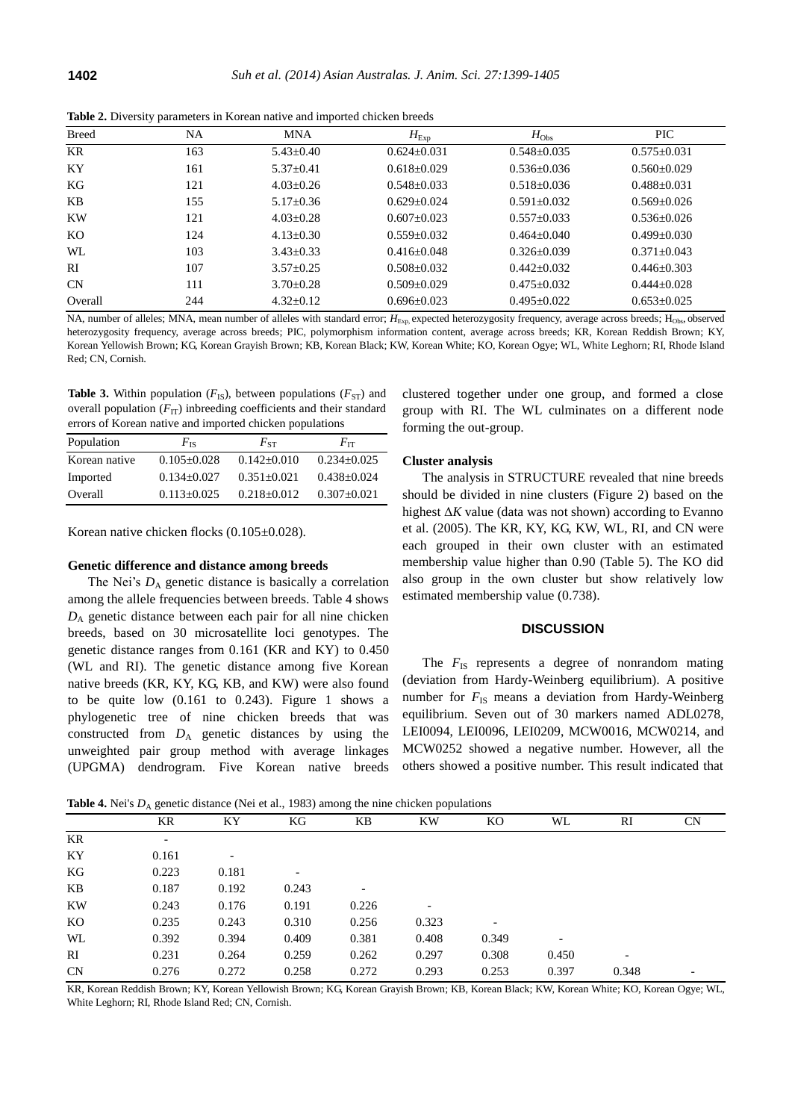|              | . . | $\overline{\phantom{a}}$ |                 |                   |                   |
|--------------|-----|--------------------------|-----------------|-------------------|-------------------|
| <b>Breed</b> | NA  | <b>MNA</b>               | $H_{\rm Exp}$   | $H_{\rm Obs}$     | <b>PIC</b>        |
| KR           | 163 | $5.43 \pm 0.40$          | $0.624 + 0.031$ | $0.548 + 0.035$   | $0.575+0.031$     |
| KY           | 161 | $5.37 \pm 0.41$          | $0.618 + 0.029$ | $0.536 + 0.036$   | $0.560+0.029$     |
| KG           | 121 | $4.03+0.26$              | $0.548 + 0.033$ | $0.518 + 0.036$   | $0.488 \pm 0.031$ |
| KB           | 155 | $5.17+0.36$              | $0.629 + 0.024$ | $0.591 + 0.032$   | $0.569 + 0.026$   |
| <b>KW</b>    | 121 | $4.03+0.28$              | $0.607+0.023$   | $0.557+0.033$     | $0.536 + 0.026$   |
| KO           | 124 | $4.13+0.30$              | $0.559 + 0.032$ | $0.464 + 0.040$   | $0.499 + 0.030$   |
| WL           | 103 | $3.43 + 0.33$            | $0.416 + 0.048$ | $0.326 + 0.039$   | $0.371 + 0.043$   |
| RI           | 107 | $3.57 + 0.25$            | $0.508 + 0.032$ | $0.442 + 0.032$   | $0.446 + 0.303$   |
| CN           | 111 | $3.70 + 0.28$            | $0.509 + 0.029$ | $0.475 + 0.032$   | $0.444+0.028$     |
| Overall      | 244 | $4.32+0.12$              | $0.696 + 0.023$ | $0.495 \pm 0.022$ | $0.653+0.025$     |
|              |     |                          |                 |                   |                   |

**Table 2.** Diversity parameters in Korean native and imported chicken breeds

NA, number of alleles; MNA, mean number of alleles with standard error;  $H_{\text{Exp}}$  expected heterozygosity frequency, average across breeds; H<sub>Obs</sub>, observed heterozygosity frequency, average across breeds; PIC, polymorphism information content, average across breeds; KR, Korean Reddish Brown; KY, Korean Yellowish Brown; KG, Korean Grayish Brown; KB, Korean Black; KW, Korean White; KO, Korean Ogye; WL, White Leghorn; RI, Rhode Island Red; CN, Cornish.

**Table 3.** Within population  $(F_{IS})$ , between populations  $(F_{ST})$  and overall population  $(F_{IT})$  inbreeding coefficients and their standard errors of Korean native and imported chicken populations

| Population    | $F_{\rm IS}$    | $F_{ST}$        | $F_{\rm IT}$    |
|---------------|-----------------|-----------------|-----------------|
| Korean native | $0.105 + 0.028$ | $0.142 + 0.010$ | $0.234 + 0.025$ |
| Imported      | $0.134 + 0.027$ | $0.351 + 0.021$ | $0.438 + 0.024$ |
| Overall       | $0.113+0.025$   | $0.218 + 0.012$ | $0.307 + 0.021$ |

Korean native chicken flocks (0.105±0.028).

## **Genetic difference and distance among breeds**

The Nei's  $D_A$  genetic distance is basically a correlation among the allele frequencies between breeds. Table 4 shows *D*<sup>A</sup> genetic distance between each pair for all nine chicken breeds, based on 30 microsatellite loci genotypes. The genetic distance ranges from 0.161 (KR and KY) to 0.450 (WL and RI). The genetic distance among five Korean native breeds (KR, KY, KG, KB, and KW) were also found to be quite low  $(0.161$  to  $0.243)$ . Figure 1 shows a phylogenetic tree of nine chicken breeds that was constructed from  $D_A$  genetic distances by using the unweighted pair group method with average linkages (UPGMA) dendrogram. Five Korean native breeds clustered together under one group, and formed a close group with RI. The WL culminates on a different node forming the out-group.

## **Cluster analysis**

The analysis in STRUCTURE revealed that nine breeds should be divided in nine clusters (Figure 2) based on the highest Δ*K* value (data was not shown) according to Evanno et al. (2005). The KR, KY, KG, KW, WL, RI, and CN were each grouped in their own cluster with an estimated membership value higher than 0.90 (Table 5). The KO did also group in the own cluster but show relatively low estimated membership value (0.738).

## **DISCUSSION**

The  $F_{\text{IS}}$  represents a degree of nonrandom mating (deviation from Hardy-Weinberg equilibrium). A positive number for  $F_{\text{IS}}$  means a deviation from Hardy-Weinberg equilibrium. Seven out of 30 markers named ADL0278, LEI0094, LEI0096, LEI0209, MCW0016, MCW0214, and MCW0252 showed a negative number. However, all the others showed a positive number. This result indicated that

**Table 4.** Nei's  $D$ , genetic distance (Nei et al., 1983) among the nine chicken populations

|           | KR                       | ΚY    | KG                       | KB    | <b>KW</b>                | KО                       | WL    | RI    | <b>CN</b> |
|-----------|--------------------------|-------|--------------------------|-------|--------------------------|--------------------------|-------|-------|-----------|
| KR        | $\overline{\phantom{a}}$ |       |                          |       |                          |                          |       |       |           |
| KY        | 0.161                    |       |                          |       |                          |                          |       |       |           |
| KG        | 0.223                    | 0.181 | $\overline{\phantom{a}}$ |       |                          |                          |       |       |           |
| KB        | 0.187                    | 0.192 | 0.243                    |       |                          |                          |       |       |           |
| KW        | 0.243                    | 0.176 | 0.191                    | 0.226 | $\overline{\phantom{0}}$ |                          |       |       |           |
| KO        | 0.235                    | 0.243 | 0.310                    | 0.256 | 0.323                    | $\overline{\phantom{a}}$ |       |       |           |
| WL        | 0.392                    | 0.394 | 0.409                    | 0.381 | 0.408                    | 0.349                    | -     |       |           |
| RI        | 0.231                    | 0.264 | 0.259                    | 0.262 | 0.297                    | 0.308                    | 0.450 |       |           |
| <b>CN</b> | 0.276                    | 0.272 | 0.258                    | 0.272 | 0.293                    | 0.253                    | 0.397 | 0.348 |           |

KR, Korean Reddish Brown; KY, Korean Yellowish Brown; KG, Korean Grayish Brown; KB, Korean Black; KW, Korean White; KO, Korean Ogye; WL, White Leghorn; RI, Rhode Island Red; CN, Cornish.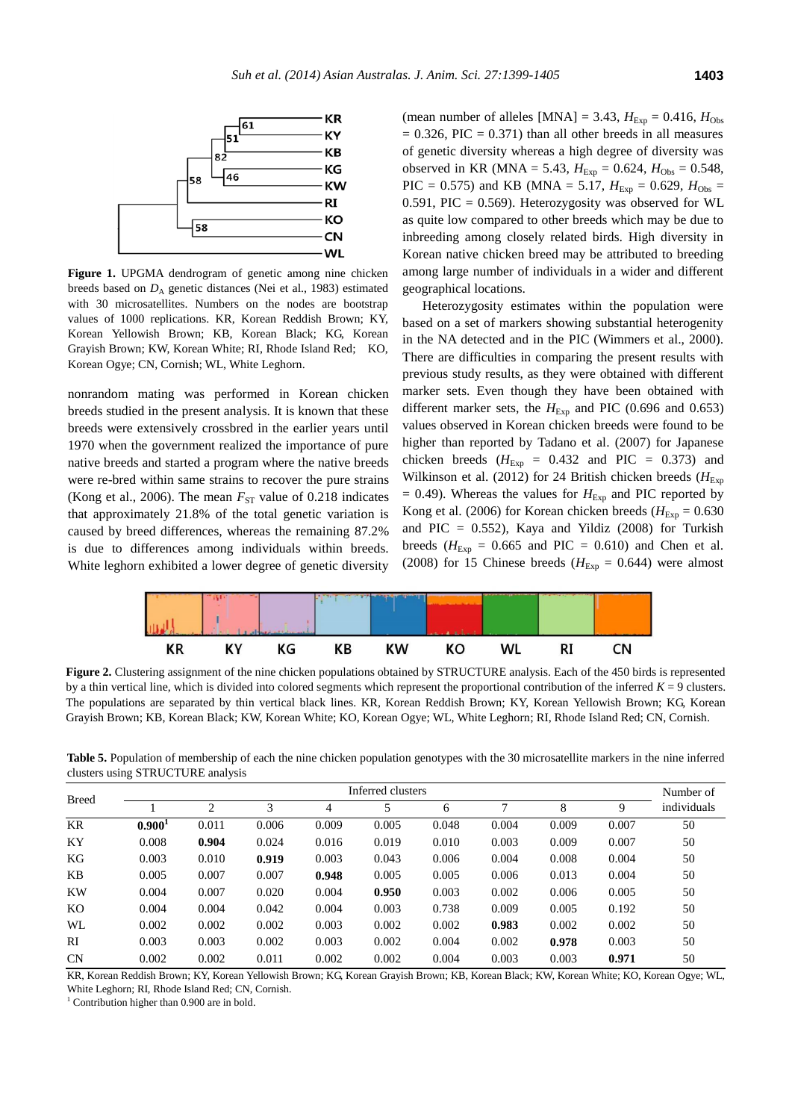

**Figure 1.** UPGMA dendrogram of genetic among nine chicken breeds based on  $D_A$  genetic distances (Nei et al., 1983) estimated with 30 microsatellites. Numbers on the nodes are bootstrap values of 1000 replications. KR, Korean Reddish Brown; KY, Korean Yellowish Brown; KB, Korean Black; KG, Korean Grayish Brown; KW, Korean White; RI, Rhode Island Red; KO, Korean Ogye; CN, Cornish; WL, White Leghorn.

nonrandom mating was performed in Korean chicken breeds studied in the present analysis. It is known that these breeds were extensively crossbred in the earlier years until 1970 when the government realized the importance of pure native breeds and started a program where the native breeds were re-bred within same strains to recover the pure strains (Kong et al., 2006). The mean  $F_{ST}$  value of 0.218 indicates that approximately 21.8% of the total genetic variation is caused by breed differences, whereas the remaining 87.2% is due to differences among individuals within breeds. White leghorn exhibited a lower degree of genetic diversity

(mean number of alleles [MNA] = 3.43,  $H_{\text{Exp}} = 0.416$ ,  $H_{\text{Obs}}$  $= 0.326$ , PIC  $= 0.371$ ) than all other breeds in all measures of genetic diversity whereas a high degree of diversity was observed in KR (MNA = 5.43,  $H_{Exp} = 0.624$ ,  $H_{Obs} = 0.548$ , PIC = 0.575) and KB (MNA = 5.17,  $H_{Exp} = 0.629$ ,  $H_{Obs} =$ 0.591, PIC = 0.569). Heterozygosity was observed for WL as quite low compared to other breeds which may be due to inbreeding among closely related birds. High diversity in Korean native chicken breed may be attributed to breeding among large number of individuals in a wider and different geographical locations.

Heterozygosity estimates within the population were based on a set of markers showing substantial heterogenity in the NA detected and in the PIC (Wimmers et al., 2000). There are difficulties in comparing the present results with previous study results, as they were obtained with different marker sets. Even though they have been obtained with different marker sets, the  $H_{\text{Exp}}$  and PIC (0.696 and 0.653) values observed in Korean chicken breeds were found to be higher than reported by Tadano et al. (2007) for Japanese chicken breeds ( $H_{\text{Exp}} = 0.432$  and PIC = 0.373) and Wilkinson et al. (2012) for 24 British chicken breeds ( $H_{\text{Exp}}$  $= 0.49$ ). Whereas the values for  $H_{Exp}$  and PIC reported by Kong et al. (2006) for Korean chicken breeds ( $H_{Exp} = 0.630$ and PIC =  $0.552$ ), Kaya and Yildiz (2008) for Turkish breeds ( $H_{\text{Exp}} = 0.665$  and PIC = 0.610) and Chen et al. (2008) for 15 Chinese breeds ( $H_{Exp} = 0.644$ ) were almost



**Figure 2.** Clustering assignment of the nine chicken populations obtained by STRUCTURE analysis. Each of the 450 birds is represented by a thin vertical line, which is divided into colored segments which represent the proportional contribution of the inferred  $K = 9$  clusters. The populations are separated by thin vertical black lines. KR, Korean Reddish Brown; KY, Korean Yellowish Brown; KG, Korean Grayish Brown; KB, Korean Black; KW, Korean White; KO, Korean Ogye; WL, White Leghorn; RI, Rhode Island Red; CN, Cornish.

**Table 5.** Population of membership of each the nine chicken population genotypes with the 30 microsatellite markers in the nine inferred clusters using STRUCTURE analysis

| $\circ$ $\circ$ |                    |                   |       |       |       |       |       |       |       |             |
|-----------------|--------------------|-------------------|-------|-------|-------|-------|-------|-------|-------|-------------|
| <b>Breed</b>    |                    | Inferred clusters |       |       |       |       |       |       |       |             |
|                 |                    | $\overline{c}$    | 3     | 4     | 5     | 6     | 7     | 8     | 9     | individuals |
| <b>KR</b>       | 0.900 <sup>1</sup> | 0.011             | 0.006 | 0.009 | 0.005 | 0.048 | 0.004 | 0.009 | 0.007 | 50          |
| KY              | 0.008              | 0.904             | 0.024 | 0.016 | 0.019 | 0.010 | 0.003 | 0.009 | 0.007 | 50          |
| KG              | 0.003              | 0.010             | 0.919 | 0.003 | 0.043 | 0.006 | 0.004 | 0.008 | 0.004 | 50          |
| KB              | 0.005              | 0.007             | 0.007 | 0.948 | 0.005 | 0.005 | 0.006 | 0.013 | 0.004 | 50          |
| KW              | 0.004              | 0.007             | 0.020 | 0.004 | 0.950 | 0.003 | 0.002 | 0.006 | 0.005 | 50          |
| KO              | 0.004              | 0.004             | 0.042 | 0.004 | 0.003 | 0.738 | 0.009 | 0.005 | 0.192 | 50          |
| WL              | 0.002              | 0.002             | 0.002 | 0.003 | 0.002 | 0.002 | 0.983 | 0.002 | 0.002 | 50          |
| RI              | 0.003              | 0.003             | 0.002 | 0.003 | 0.002 | 0.004 | 0.002 | 0.978 | 0.003 | 50          |
| CN              | 0.002              | 0.002             | 0.011 | 0.002 | 0.002 | 0.004 | 0.003 | 0.003 | 0.971 | 50          |

KR, Korean Reddish Brown; KY, Korean Yellowish Brown; KG, Korean Grayish Brown; KB, Korean Black; KW, Korean White; KO, Korean Ogye; WL, White Leghorn; RI, Rhode Island Red; CN, Cornish.

<sup>1</sup> Contribution higher than 0.900 are in bold.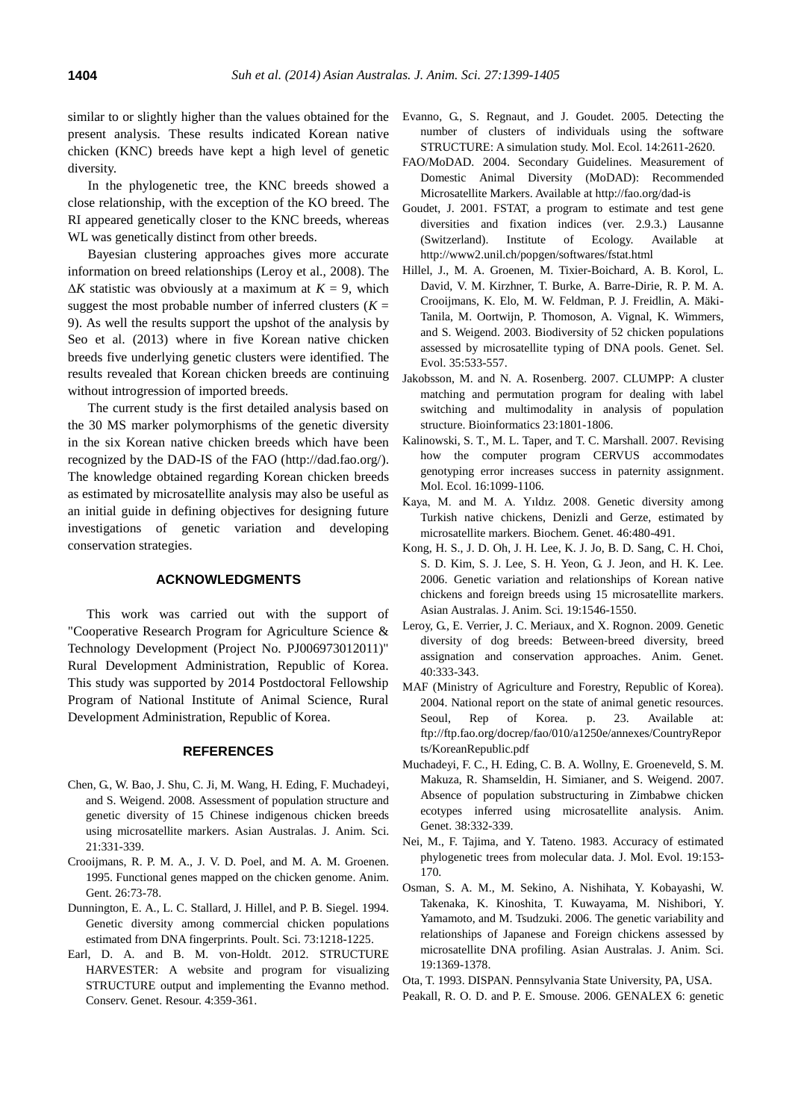similar to or slightly higher than the values obtained for the present analysis. These results indicated Korean native chicken (KNC) breeds have kept a high level of genetic diversity.

In the phylogenetic tree, the KNC breeds showed a close relationship, with the exception of the KO breed. The RI appeared genetically closer to the KNC breeds, whereas WL was genetically distinct from other breeds.

Bayesian clustering approaches gives more accurate information on breed relationships (Leroy et al., 2008). The  $\Delta K$  statistic was obviously at a maximum at  $K = 9$ , which suggest the most probable number of inferred clusters  $(K =$ 9). As well the results support the upshot of the analysis by Seo et al. (2013) where in five Korean native chicken breeds five underlying genetic clusters were identified. The results revealed that Korean chicken breeds are continuing without introgression of imported breeds.

The current study is the first detailed analysis based on the 30 MS marker polymorphisms of the genetic diversity in the six Korean native chicken breeds which have been recognized by the DAD-IS of the FAO [\(http://dad.fao.org/\)](http://dad.fao.org/). The knowledge obtained regarding Korean chicken breeds as estimated by microsatellite analysis may also be useful as an initial guide in defining objectives for designing future investigations of genetic variation and developing conservation strategies.

# **ACKNOWLEDGMENTS**

This work was carried out with the support of "Cooperative Research Program for Agriculture Science & Technology Development (Project No. PJ006973012011)" Rural Development Administration, Republic of Korea. This study was supported by 2014 Postdoctoral Fellowship Program of National Institute of Animal Science, Rural Development Administration, Republic of Korea.

# **REFERENCES**

- Chen, G., W. Bao, J. Shu, C. Ji, M. Wang, H. Eding, F. Muchadeyi, and S. Weigend. 2008. [Assessment of population structure and](http://www.ajas.info/journal/view.php?number=21785)  [genetic diversity of 15 Chinese indigenous chicken breeds](http://www.ajas.info/journal/view.php?number=21785)  [using microsatellite markers.](http://www.ajas.info/journal/view.php?number=21785) Asian Australas. J. Anim. Sci. 21:331-339.
- Crooijmans, R. P. M. A., J. V. D. Poel, and M. A. M. Groenen. 1995. [Functional genes mapped on the chicken genome.](http://onlinelibrary.wiley.com/doi/10.1111/j.1365-2052.1995.tb02636.x/abstract) Anim. Gent. 26:73-78.
- Dunnington, E. A., L. C. Stallard, J. Hillel, and P. B. Siegel. 1994. [Genetic diversity among commercial chicken populations](http://ps.oxfordjournals.org/content/73/8/1218.short)  [estimated from DNA fingerprints.](http://ps.oxfordjournals.org/content/73/8/1218.short) Poult. Sci. 73:1218-1225.
- Earl, D. A. and B. M. von-Holdt. 2012. [STRUCTURE](http://link.springer.com/article/10.1007/s12686-011-9548-7)  HARVESTER: A [website and program for visualizing](http://link.springer.com/article/10.1007/s12686-011-9548-7)  [STRUCTURE output and implementing the Evanno method.](http://link.springer.com/article/10.1007/s12686-011-9548-7)  Conserv. Genet. Resour. 4:359-361.
- Evanno, G., S. Regnaut, and J. Goudet. 2005. [Detecting the](http://onlinelibrary.wiley.com/doi/10.1111/j.1365-294X.2005.02553.x/abstract?deniedAccessCustomisedMessage=&userIsAuthenticated=false)  [number of clusters of individuals using the software](http://onlinelibrary.wiley.com/doi/10.1111/j.1365-294X.2005.02553.x/abstract?deniedAccessCustomisedMessage=&userIsAuthenticated=false)  [STRUCTURE: A](http://onlinelibrary.wiley.com/doi/10.1111/j.1365-294X.2005.02553.x/abstract?deniedAccessCustomisedMessage=&userIsAuthenticated=false) simulation study. Mol. Ecol. 14:2611-2620.
- FAO/MoDAD. 2004. Secondary Guidelines. Measurement of Domestic Animal Diversity (MoDAD): Recommended Microsatellite Markers. Available at http://fao.org/dad-is
- Goudet, J. 2001. FSTAT, a program to estimate and test gene diversities and fixation indices (ver. 2.9.3.) Lausanne (Switzerland). Institute of Ecology. Available at http://www2.unil.ch/popgen/softwares/fstat.html
- Hillel, J., M. A. Groenen, M. Tixier-Boichard, A. B. Korol, L. David, V. M. Kirzhner, T. Burke, A. Barre-Dirie, R. P. M. A. Crooijmans, K. Elo, M. W. Feldman, P. J. Freidlin, A. Mäki-Tanila, M. Oortwijn, P. Thomoson, A. Vignal, K. Wimmers, and S. Weigend. 2003. [Biodiversity of 52 chicken populations](http://www.biomedcentral.com/content/pdf/1297-9686-35-6-533.pdf)  [assessed by microsatellite typing of DNA pools.](http://www.biomedcentral.com/content/pdf/1297-9686-35-6-533.pdf) Genet. Sel. Evol. 35:533-557.
- Jakobsson, M. and N. A. Rosenberg. 2007. [CLUMPP: A](http://bioinformatics.oxfordjournals.org/content/23/14/1801.short) cluster [matching and permutation program for dealing with label](http://bioinformatics.oxfordjournals.org/content/23/14/1801.short)  [switching and multimodality in analysis of population](http://bioinformatics.oxfordjournals.org/content/23/14/1801.short)  [structure.](http://bioinformatics.oxfordjournals.org/content/23/14/1801.short) Bioinformatics 23:1801-1806.
- Kalinowski, S. T., M. L. Taper, and T. C. Marshall. 2007. [Revising](http://onlinelibrary.wiley.com/doi/10.1111/j.1365-294X.2007.03089.x/abstract?deniedAccessCustomisedMessage=&userIsAuthenticated=false)  [how the computer program CERVUS accommodates](http://onlinelibrary.wiley.com/doi/10.1111/j.1365-294X.2007.03089.x/abstract?deniedAccessCustomisedMessage=&userIsAuthenticated=false)  [genotyping error increases success in paternity assignment.](http://onlinelibrary.wiley.com/doi/10.1111/j.1365-294X.2007.03089.x/abstract?deniedAccessCustomisedMessage=&userIsAuthenticated=false) Mol. Ecol. 16:1099-1106.
- Kaya, M. and M. A. Yıldız. 2008. [Genetic diversity among](http://link.springer.com/article/10.1007/s10528-008-9164-8)  [Turkish native chickens, Denizli and Gerze, estimated by](http://link.springer.com/article/10.1007/s10528-008-9164-8)  [microsatellite markers.](http://link.springer.com/article/10.1007/s10528-008-9164-8) Biochem. Genet. 46:480-491.
- Kong, H. S., J. D. Oh, J. H. Lee, K. J. Jo, B. D. Sang, C. H. Choi, S. D. Kim, S. J. Lee, S. H. Yeon, G. J. Jeon, and H. K. Lee. 2006. [Genetic variation and relationships of Korean native](http://www.ajas.info/journal/view.php?number=21435)  [chickens and foreign breeds using 15 microsatellite markers.](http://www.ajas.info/journal/view.php?number=21435) Asian Australas. J. Anim. Sci. 19:1546-1550.
- Leroy, G., E. Verrier, J. C. Meriaux, and X. Rognon. 2009. [Genetic](http://onlinelibrary.wiley.com/doi/10.1111/j.1365-2052.2008.01843.x/abstract?deniedAccessCustomisedMessage=&userIsAuthenticated=false)  [diversity of dog breeds: Between](http://onlinelibrary.wiley.com/doi/10.1111/j.1365-2052.2008.01843.x/abstract?deniedAccessCustomisedMessage=&userIsAuthenticated=false)‐breed diversity, breed [assignation and conservation approaches.](http://onlinelibrary.wiley.com/doi/10.1111/j.1365-2052.2008.01843.x/abstract?deniedAccessCustomisedMessage=&userIsAuthenticated=false) Anim. Genet. 40:333-343.
- MAF (Ministry of Agriculture and Forestry, Republic of Korea). 2004. National report on the state of animal genetic resources. Seoul, Rep of Korea. p. 23. Available at: ftp://ftp.fao.org/docrep/fao/010/a1250e/annexes/CountryRepor ts/KoreanRepublic.pdf
- Muchadeyi, F. C., H. Eding, C. B. A. Wollny, E. Groeneveld, S. M. Makuza, R. Shamseldin, H. Simianer, and S. Weigend. 2007. [Absence of population substructuring in Zimbabwe chicken](http://onlinelibrary.wiley.com/doi/10.1111/j.1365-2052.2007.01606.x/abstract?deniedAccessCustomisedMessage=&userIsAuthenticated=false)  [ecotypes inferred using microsatellite analysis](http://onlinelibrary.wiley.com/doi/10.1111/j.1365-2052.2007.01606.x/abstract?deniedAccessCustomisedMessage=&userIsAuthenticated=false). Anim. Genet. 38:332-339.
- Nei, M., F. Tajima, and Y. Tateno. 1983. [Accuracy of estimated](http://link.springer.com/article/10.1007/BF02300753)  [phylogenetic trees from molecular data.](http://link.springer.com/article/10.1007/BF02300753) J. Mol. Evol. 19:153- 170.
- Osman, S. A. M., M. Sekino, A. Nishihata, Y. Kobayashi, W. Takenaka, K. Kinoshita, T. Kuwayama, M. Nishibori, Y. Yamamoto, and M. Tsudzuki. 2006[. The genetic variability and](http://www.ajas.info/journal/view.php?number=21407)  relationships [of Japanese and Foreign chickens assessed by](http://www.ajas.info/journal/view.php?number=21407)  [microsatellite DNA profiling.](http://www.ajas.info/journal/view.php?number=21407) Asian Australas. J. Anim. Sci. 19:1369-1378.

Ota, T. 1993. DISPAN. Pennsylvania State University, PA, USA.

Peakall, R. O. D. and P. E. Smouse. 2006. [GENALEX 6: genetic](http://onlinelibrary.wiley.com/doi/10.1111/j.1471-8286.2005.01155.x/abstract?deniedAccessCustomisedMessage=&userIsAuthenticated=false)